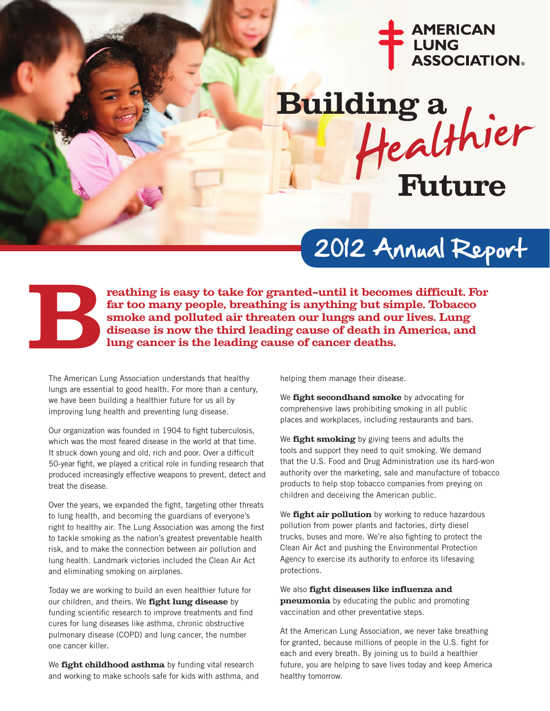

# **Building a Future**

### 2012 Annual Report



**reathing is easy to take for granted—until it becomes difficult. For far too many people, breathing is anything but simple. Tobacco smoke and polluted air threaten our lungs and our lives. Lung discusse is now the third leading is anything but simple. Tobacco** smoke and polluted air threaten our lungs and our lives. Lung disease is now the third leading cause of death in America, and lung cancer is the leading c

The American Lung Association understands that healthy lungs are essential to good health. For more than a century, we have been building a healthier future for us all by improving lung health and preventing lung disease.

Our organization was founded in 1904 to fight tuberculosis, which was the most feared disease in the world at that time. It struck down young and old, rich and poor. Over a difficult 50-year fight, we played a critical role in funding research that produced increasingly effective weapons to prevent, detect and treat the disease.

Over the years, we expanded the fight, targeting other threats to lung health, and becoming the guardians of everyone's right to healthy air. The Lung Association was among the first to tackle smoking as the nation's greatest preventable health risk, and to make the connection between air pollution and lung health. Landmark victories included the Clean Air Act and eliminating smoking on airplanes.

Today we are working to build an even healthier future for our children, and theirs. We **fight lung disease** by funding scientific research to improve treatments and find cures for lung diseases like asthma, chronic obstructive pulmonary disease (COPD) and lung cancer, the number one cancer killer.

We **fight childhood asthma** by funding vital research and working to make schools safe for kids with asthma, and helping them manage their disease.

We **fight secondhand smoke** by advocating for comprehensive laws prohibiting smoking in all public places and workplaces, including restaurants and bars.

We **fight smoking** by giving teens and adults the tools and support they need to quit smoking. We demand that the U.S. Food and Drug Administration use its hard-won authority over the marketing, sale and manufacture of tobacco products to help stop tobacco companies from preying on children and deceiving the American public.

We **fight air pollution** by working to reduce hazardous pollution from power plants and factories, dirty diesel trucks, buses and more. We're also fighting to protect the Clean Air Act and pushing the Environmental Protection Agency to exercise its authority to enforce its lifesaving protections.

We also **fight diseases like influenza and pneumonia** by educating the public and promoting vaccination and other preventative steps.

At the American Lung Association, we never take breathing for granted, because millions of people in the U.S. fight for each and every breath. By joining us to build a healthier future, you are helping to save lives today and keep America healthy tomorrow.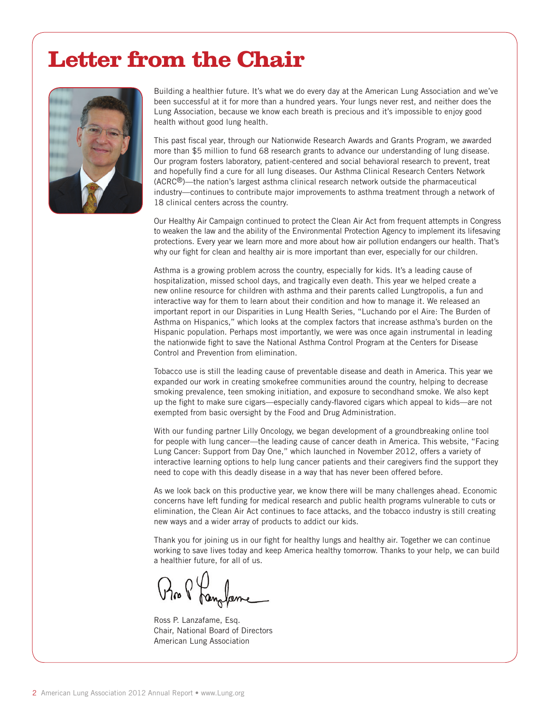### **Letter from the Chair**



Building a healthier future. It's what we do every day at the American Lung Association and we've been successful at it for more than a hundred years. Your lungs never rest, and neither does the Lung Association, because we know each breath is precious and it's impossible to enjoy good health without good lung health.

This past fiscal year, through our Nationwide Research Awards and Grants Program, we awarded more than \$5 million to fund 68 research grants to advance our understanding of lung disease. Our program fosters laboratory, patient-centered and social behavioral research to prevent, treat and hopefully find a cure for all lung diseases. Our Asthma Clinical Research Centers Network (ACRC®)—the nation's largest asthma clinical research network outside the pharmaceutical industry—continues to contribute major improvements to asthma treatment through a network of 18 clinical centers across the country.

Our Healthy Air Campaign continued to protect the Clean Air Act from frequent attempts in Congress to weaken the law and the ability of the Environmental Protection Agency to implement its lifesaving protections. Every year we learn more and more about how air pollution endangers our health. That's why our fight for clean and healthy air is more important than ever, especially for our children.

Asthma is a growing problem across the country, especially for kids. It's a leading cause of hospitalization, missed school days, and tragically even death. This year we helped create a new online resource for children with asthma and their parents called Lungtropolis, a fun and interactive way for them to learn about their condition and how to manage it. We released an important report in our Disparities in Lung Health Series, "Luchando por el Aire: The Burden of Asthma on Hispanics," which looks at the complex factors that increase asthma's burden on the Hispanic population. Perhaps most importantly, we were was once again instrumental in leading the nationwide fight to save the National Asthma Control Program at the Centers for Disease Control and Prevention from elimination.

Tobacco use is still the leading cause of preventable disease and death in America. This year we expanded our work in creating smokefree communities around the country, helping to decrease smoking prevalence, teen smoking initiation, and exposure to secondhand smoke. We also kept up the fight to make sure cigars—especially candy-flavored cigars which appeal to kids—are not exempted from basic oversight by the Food and Drug Administration.

With our funding partner Lilly Oncology, we began development of a groundbreaking online tool for people with lung cancer—the leading cause of cancer death in America. This website, "Facing Lung Cancer: Support from Day One," which launched in November 2012, offers a variety of interactive learning options to help lung cancer patients and their caregivers find the support they need to cope with this deadly disease in a way that has never been offered before.

As we look back on this productive year, we know there will be many challenges ahead. Economic concerns have left funding for medical research and public health programs vulnerable to cuts or elimination, the Clean Air Act continues to face attacks, and the tobacco industry is still creating new ways and a wider array of products to addict our kids.

Thank you for joining us in our fight for healthy lungs and healthy air. Together we can continue working to save lives today and keep America healthy tomorrow. Thanks to your help, we can build a healthier future, for all of us.

Ross P. Lanzafame, Esq. Chair, National Board of Directors American Lung Association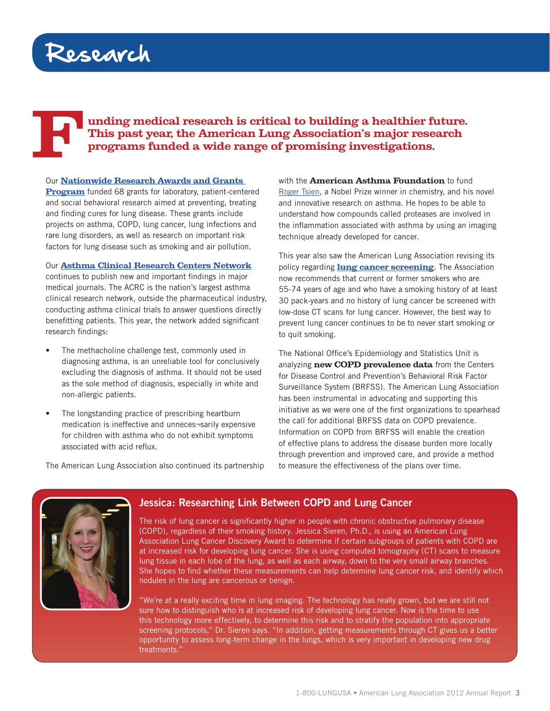### Research

#### **Funding medical research is critical to building a healthier future. This past year, the American Lung Association's major research programs funded a wide range of promising investigations.**

#### Our **[Nationwide Research Awards and Grants](http://www.lung.org/finding-cures/grant-opportunities/)**

**[Program](http://www.lung.org/finding-cures/grant-opportunities/)** funded 68 grants for laboratory, patient-centered and social behavioral research aimed at preventing, treating and finding cures for lung disease. These grants include projects on asthma, COPD, lung cancer, lung infections and rare lung disorders, as well as research on important risk factors for lung disease such as smoking and air pollution.

#### Our **[Asthma Clinical Research Centers Network](http://www.lung.org/finding-cures/our-research/acrc/)**

continues to publish new and important findings in major medical journals. The ACRC is the nation's largest asthma clinical research network, outside the pharmaceutical industry, conducting asthma clinical trials to answer questions directly benefitting patients. This year, the network added significant research findings:

- The methacholine challenge test, commonly used in diagnosing asthma, is an unreliable tool for conclusively excluding the diagnosis of asthma. It should not be used as the sole method of diagnosis, especially in white and non-allergic patients.
- The longstanding practice of prescribing heartburn medication is ineffective and unneces¬sarily expensive for children with asthma who do not exhibit symptoms associated with acid reflux.

The American Lung Association also continued its partnership

with the **American Asthma Foundation** to fund [Roger Tsien,](http://www.lung.org/finding-cures/our-research/awards-and-grants/awards-and-grants-scholars/201112/roger-tsien-phd.html) a Nobel Prize winner in chemistry, and his novel and innovative research on asthma. He hopes to be able to understand how compounds called proteases are involved in the inflammation associated with asthma by using an imaging technique already developed for cancer.

This year also saw the American Lung Association revising its policy regarding **[lung cancer screening](http://www.lung.org/lung-disease/lung-cancer/lung-cancer-screening-guidelines/)**. The Association now recommends that current or former smokers who are 55-74 years of age and who have a smoking history of at least 30 pack-years and no history of lung cancer be screened with low-dose CT scans for lung cancer. However, the best way to prevent lung cancer continues to be to never start smoking or to quit smoking.

The National Office's Epidemiology and Statistics Unit is analyzing **new COPD prevalence data** from the Centers for Disease Control and Prevention's Behavioral Risk Factor Surveillance System (BRFSS). The American Lung Association has been instrumental in advocating and supporting this initiative as we were one of the first organizations to spearhead the call for additional BRFSS data on COPD prevalence. Information on COPD from BRFSS will enable the creation of effective plans to address the disease burden more locally through prevention and improved care, and provide a method to measure the effectiveness of the plans over time.



#### **Jessica: Researching Link Between COPD and Lung Cancer**

The risk of lung cancer is significantly higher in people with chronic obstructive pulmonary disease (COPD), regardless of their smoking history. Jessica Sieren, Ph.D., is using an American Lung Association Lung Cancer Discovery Award to determine if certain subgroups of patients with COPD are at increased risk for developing lung cancer. She is using computed tomography (CT) scans to measure lung tissue in each lobe of the lung, as well as each airway, down to the very small airway branches. She hopes to find whether these measurements can help determine lung cancer risk, and identify which nodules in the lung are cancerous or benign.

"We're at a really exciting time in lung imaging. The technology has really grown, but we are still not sure how to distinguish who is at increased risk of developing lung cancer. Now is the time to use this technology more effectively, to determine this risk and to stratify the population into appropriate screening protocols," Dr. Sieren says. "In addition, getting measurements through CT gives us a better opportunity to assess long-term change in the lungs, which is very important in developing new drug treatments."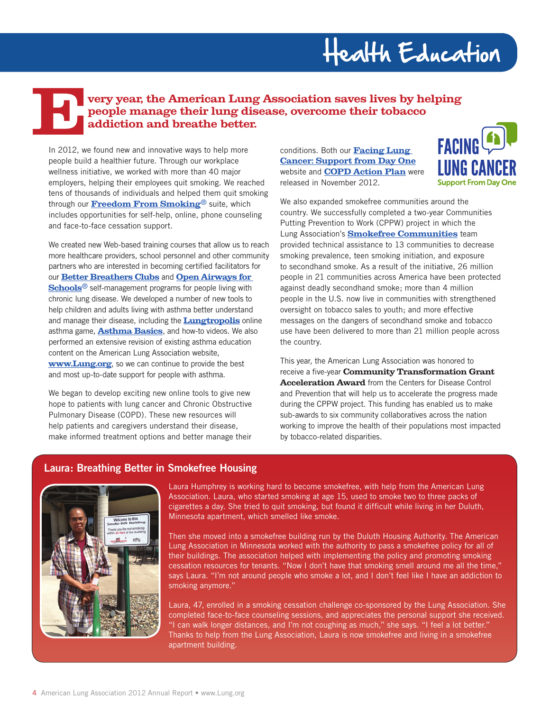### Health Education

### **EVERTUAN VERTUAN VERTUAN VERTUAN CONTRASSOCIATION SAVES DIVERTUAN PEOPLE MANAGER CONCLUDED AND DETERMINED AND CONCLUDED BOTH OUT EACH OF <b>EXCLUDED**<br> **Exclude found new and innovative ways to belo more** conditions. Both ou **people manage their lung disease, overcome their tobacco addiction and breathe better.**

In 2012, we found new and innovative ways to help more people build a healthier future. Through our workplace wellness initiative, we worked with more than 40 major employers, helping their employees quit smoking. We reached tens of thousands of individuals and helped them quit smoking through our **[Freedom From Smoking](http://www.lung.org/stop-smoking/how-to-quit/freedom-from-smoking/)**® suite, which includes opportunities for self-help, online, phone counseling and face-to-face cessation support.

We created new Web-based training courses that allow us to reach more healthcare providers, school personnel and other community partners who are interested in becoming certified facilitators for our **[Better Breathers Clubs](http://www.lung.org/lung-disease/copd/connect-with-others/better-breathers-clubs/)** and **[Open Airways for](http://www.lung.org/lung-disease/asthma/in-schools/open-airways/open-airways-for-schools-1.html)  [Schools](http://www.lung.org/lung-disease/asthma/in-schools/open-airways/open-airways-for-schools-1.html)**® self-management programs for people living with chronic lung disease. We developed a number of new tools to help children and adults living with asthma better understand and manage their disease, including the **[Lungtropolis](http://www.lung.org/lung-disease/asthma/taking-control-of-asthma/for-parents-of-children-with-asthma/lungtropolis.html)** online asthma game, **[Asthma Basics](http://www.lung.org/lung-disease/asthma/learning-more-about-asthma/asthma-basics.html)**, and how-to videos. We also performed an extensive revision of existing asthma education content on the American Lung Association website, **[www.Lung.org](http://www.Lung.org)**, so we can continue to provide the best and most up-to-date support for people with asthma.

We began to develop exciting new online tools to give new hope to patients with lung cancer and Chronic Obstructive Pulmonary Disease (COPD). These new resources will help patients and caregivers understand their disease, make informed treatment options and better manage their conditions. Both our **[Facing Lung](http://www.mylungcancersupport.org/ OR)  [Cancer: Support from Day One](http://www.mylungcancersupport.org/ OR)** website and **[COPD Action Plan](http://action.lung.org/site/DocServer/action-management-plan.pdf)** were released in November 2012.



We also expanded smokefree communities around the country. We successfully completed a two-year Communities Putting Prevention to Work (CPPW) project in which the Lung Association's **[Smokefree Communities](http://www.lung.org/stop-smoking/about-smoking/smokefree-housing.html)** team provided technical assistance to 13 communities to decrease smoking prevalence, teen smoking initiation, and exposure to secondhand smoke. As a result of the initiative, 26 million people in 21 communities across America have been protected against deadly secondhand smoke; more than 4 million people in the U.S. now live in communities with strengthened oversight on tobacco sales to youth; and more effective messages on the dangers of secondhand smoke and tobacco use have been delivered to more than 21 million people across the country.

This year, the American Lung Association was honored to receive a five-year **Community Transformation Grant Acceleration Award** from the Centers for Disease Control and Prevention that will help us to accelerate the progress made during the CPPW project. This funding has enabled us to make sub-awards to six community collaboratives across the nation working to improve the health of their populations most impacted by tobacco-related disparities.

#### **Laura: Breathing Better in Smokefree Housing**



Laura Humphrey is working hard to become smokefree, with help from the American Lung Association. Laura, who started smoking at age 15, used to smoke two to three packs of cigarettes a day. She tried to quit smoking, but found it difficult while living in her Duluth, Minnesota apartment, which smelled like smoke.

Then she moved into a smokefree building run by the Duluth Housing Authority. The American Lung Association in Minnesota worked with the authority to pass a smokefree policy for all of their buildings. The association helped with implementing the policy and promoting smoking cessation resources for tenants. "Now I don't have that smoking smell around me all the time," says Laura. "I'm not around people who smoke a lot, and I don't feel like I have an addiction to smoking anymore."

Laura, 47, enrolled in a smoking cessation challenge co-sponsored by the Lung Association. She completed face-to-face counseling sessions, and appreciates the personal support she received. "I can walk longer distances, and I'm not coughing as much," she says. "I feel a lot better." Thanks to help from the Lung Association, Laura is now smokefree and living in a smokefree apartment building.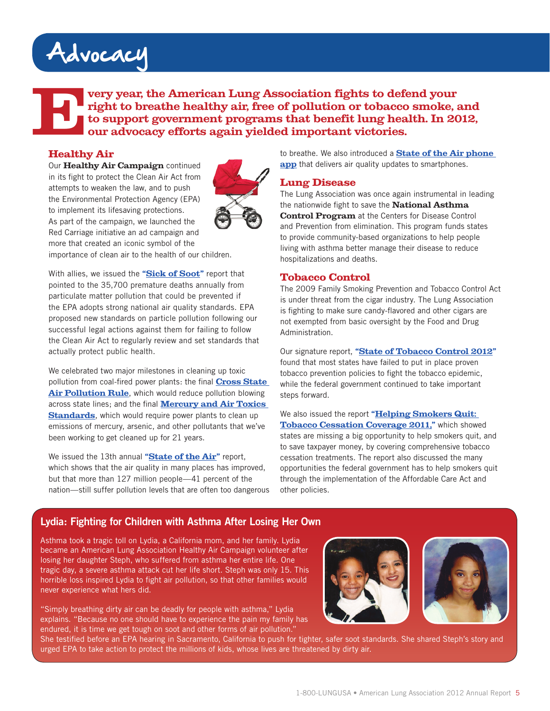### Advocacy

**Every year, the American Lung Association fights to defend your right to breathe healthy air, free of pollution or tobacco smoke, a to support government programs that benefit lung health. In 20 our advocacy efforts again right to breathe healthy air, free of pollution or tobacco smoke, and to support government programs that benefit lung health. In 2012, our advocacy efforts again yielded important victories.**

#### **Healthy Air**

Our **Healthy Air Campaign** continued in its fight to protect the Clean Air Act from attempts to weaken the law, and to push the Environmental Protection Agency (EPA) to implement its lifesaving protections. As part of the campaign, we launched the Red Carriage initiative an ad campaign and more that created an iconic symbol of the



importance of clean air to the health of our children.

With allies, we issued the **["Sick of Soot"](http://earthjustice.org/soot)** report that pointed to the 35,700 premature deaths annually from particulate matter pollution that could be prevented if the EPA adopts strong national air quality standards. EPA proposed new standards on particle pollution following our successful legal actions against them for failing to follow the Clean Air Act to regularly review and set standards that actually protect public health.

We celebrated two major milestones in cleaning up toxic pollution from coal-fired power plants: the final **[Cross State](http://www.lung.org/press-room/press-releases/cross-state-air-pollution.html)  [Air Pollution Rule](http://www.lung.org/press-room/press-releases/cross-state-air-pollution.html)**, which would reduce pollution blowing across state lines; and the final **[Mercury and Air Toxics](http://www.lung.org/press-room/press-releases/obama-admin-finalize-mercury-air-toxics-standards.html (press release))  [Standards](http://www.lung.org/press-room/press-releases/obama-admin-finalize-mercury-air-toxics-standards.html (press release))**, which would require power plants to clean up emissions of mercury, arsenic, and other pollutants that we've been working to get cleaned up for 21 years.

We issued the 13th annual **["State of the Air"](http://www.stateoftheair.org)** report, which shows that the air quality in many places has improved, but that more than 127 million people—41 percent of the nation—still suffer pollution levels that are often too dangerous to breathe. We also introduced a **[State of the Air phone](http://www.lung.org/healthy-air/outdoor/state-of-the-air/app.html)  [app](http://www.lung.org/healthy-air/outdoor/state-of-the-air/app.html)** that delivers air quality updates to smartphones.

#### **Lung Disease**

The Lung Association was once again instrumental in leading the nationwide fight to save the **National Asthma Control Program** at the Centers for Disease Control and Prevention from elimination. This program funds states to provide community-based organizations to help people living with asthma better manage their disease to reduce hospitalizations and deaths.

#### **Tobacco Control**

The 2009 Family Smoking Prevention and Tobacco Control Act is under threat from the cigar industry. The Lung Association is fighting to make sure candy-flavored and other cigars are not exempted from basic oversight by the Food and Drug Administration.

Our signature report, **["State of Tobacco Control 2012"](www.stateoftobaccocontrol.org)** found that most states have failed to put in place proven tobacco prevention policies to fight the tobacco epidemic, while the federal government continued to take important steps forward.

We also issued the report **["Helping Smokers Quit:](http://www.lung.org/stop-smoking/tobacco-control-advocacy/reports-resources/helping-smokers-quit-state.html)  [Tobacco Cessation Coverage 2011,"](http://www.lung.org/stop-smoking/tobacco-control-advocacy/reports-resources/helping-smokers-quit-state.html)** which showed states are missing a big opportunity to help smokers quit, and to save taxpayer money, by covering comprehensive tobacco cessation treatments. The report also discussed the many opportunities the federal government has to help smokers quit through the implementation of the Affordable Care Act and other policies.

#### **Lydia: Fighting for Children with Asthma After Losing Her Own**

Asthma took a tragic toll on Lydia, a California mom, and her family. Lydia became an American Lung Association Healthy Air Campaign volunteer after losing her daughter Steph, who suffered from asthma her entire life. One tragic day, a severe asthma attack cut her life short. Steph was only 15. This horrible loss inspired Lydia to fight air pollution, so that other families would never experience what hers did.

"Simply breathing dirty air can be deadly for people with asthma," Lydia explains. "Because no one should have to experience the pain my family has endured, it is time we get tough on soot and other forms of air pollution.'





She testified before an EPA hearing in Sacramento, California to push for tighter, safer soot standards. She shared Steph's story and urged EPA to take action to protect the millions of kids, whose lives are threatened by dirty air.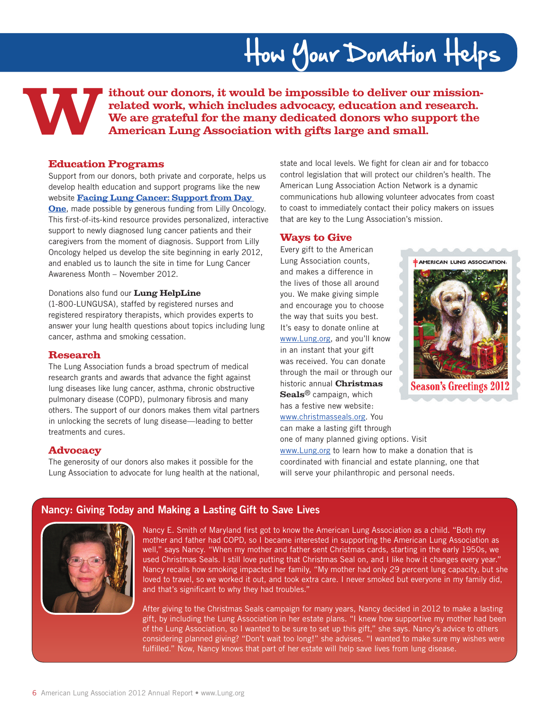## How Your Donation Helps

ithout our donors, it would be impossible to deliver our mission-<br>related work, which includes advocacy, education and research.<br>We are grateful for the many dedicated donors who support the<br>American Lung Association with **related work, which includes advocacy, education and research. We are grateful for the many dedicated donors who support the American Lung Association with gifts large and small.** 

#### **Education Programs**

Support from our donors, both private and corporate, helps us develop health education and support programs like the new website **[Facing Lung Cancer: Support from Day](http://www.mylungcancersupport.org/)  [One](http://www.mylungcancersupport.org/)**, made possible by generous funding from Lilly Oncology. This first-of-its-kind resource provides personalized, interactive support to newly diagnosed lung cancer patients and their caregivers from the moment of diagnosis. Support from Lilly Oncology helped us develop the site beginning in early 2012, and enabled us to launch the site in time for Lung Cancer Awareness Month – November 2012.

#### Donations also fund our **Lung HelpLine**

(1-800-LUNGUSA), staffed by registered nurses and registered respiratory therapists, which provides experts to answer your lung health questions about topics including lung cancer, asthma and smoking cessation.

#### **Research**

The Lung Association funds a broad spectrum of medical research grants and awards that advance the fight against lung diseases like lung cancer, asthma, chronic obstructive pulmonary disease (COPD), pulmonary fibrosis and many others. The support of our donors makes them vital partners in unlocking the secrets of lung disease—leading to better treatments and cures.

#### **Advocacy**

The generosity of our donors also makes it possible for the Lung Association to advocate for lung health at the national, state and local levels. We fight for clean air and for tobacco control legislation that will protect our children's health. The American Lung Association Action Network is a dynamic communications hub allowing volunteer advocates from coast to coast to immediately contact their policy makers on issues that are key to the Lung Association's mission.

#### **Ways to Give**

Every gift to the American Lung Association counts, and makes a difference in the lives of those all around you. We make giving simple and encourage you to choose the way that suits you best. It's easy to donate online at [www.Lung.org,](http://www.lung.org) and you'll know in an instant that your gift was received. You can donate through the mail or through our historic annual **Christmas Seals**® campaign, which has a festive new website: [www.christmasseals.org.](http://www.christmasseals.org) You

can make a lasting gift through

 $\pm$  AMERICAN LUNG ASSOCIATION.

**Season's Greetings 201** 

one of many planned giving options. Visit [www.Lung.org](http://www.lung.org) to learn how to make a donation that is coordinated with financial and estate planning, one that will serve your philanthropic and personal needs.

#### **Nancy: Giving Today and Making a Lasting Gift to Save Lives**



Nancy E. Smith of Maryland first got to know the American Lung Association as a child. "Both my mother and father had COPD, so I became interested in supporting the American Lung Association as well," says Nancy. "When my mother and father sent Christmas cards, starting in the early 1950s, we used Christmas Seals. I still love putting that Christmas Seal on, and I like how it changes every year." Nancy recalls how smoking impacted her family, "My mother had only 29 percent lung capacity, but she loved to travel, so we worked it out, and took extra care. I never smoked but everyone in my family did, and that's significant to why they had troubles."

After giving to the Christmas Seals campaign for many years, Nancy decided in 2012 to make a lasting gift, by including the Lung Association in her estate plans. "I knew how supportive my mother had been of the Lung Association, so I wanted to be sure to set up this gift," she says. Nancy's advice to others considering planned giving? "Don't wait too long!" she advises. "I wanted to make sure my wishes were fulfilled." Now, Nancy knows that part of her estate will help save lives from lung disease.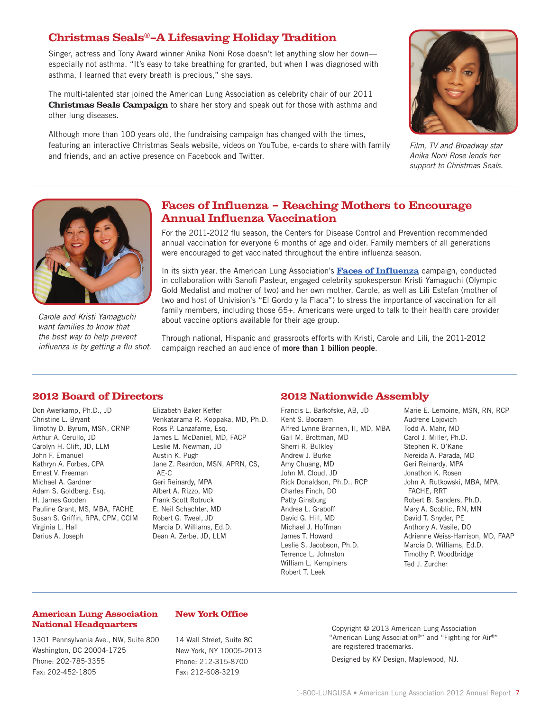#### **Christmas Seals**®**—A Lifesaving Holiday Tradition**

Singer, actress and Tony Award winner Anika Noni Rose doesn't let anything slow her down especially not asthma. "It's easy to take breathing for granted, but when I was diagnosed with asthma, I learned that every breath is precious," she says.

The multi-talented star joined the American Lung Association as celebrity chair of our 2011 **Christmas Seals Campaign** to share her story and speak out for those with asthma and other lung diseases.

Although more than 100 years old, the fundraising campaign has changed with the times, featuring an interactive Christmas Seals website, videos on YouTube, e-cards to share with family and friends, and an active presence on Facebook and Twitter.



*Film, TV and Broadway star Anika Noni Rose lends her support to Christmas Seals.* 



*Carole and Kristi Yamaguchi want families to know that the best way to help prevent influenza is by getting a flu shot.*

#### **Faces of Influenza – Reaching Mothers to Encourage Annual Influenza Vaccination**

For the 2011-2012 flu season, the Centers for Disease Control and Prevention recommended annual vaccination for everyone 6 months of age and older. Family members of all generations were encouraged to get vaccinated throughout the entire influenza season.

In its sixth year, the American Lung Association's **[Faces of Influenza](http://www.facesofinfluenza.org/)** campaign, conducted in collaboration with Sanofi Pasteur, engaged celebrity spokesperson Kristi Yamaguchi (Olympic Gold Medalist and mother of two) and her own mother, Carole, as well as Lili Estefan (mother of two and host of Univision's "El Gordo y la Flaca") to stress the importance of vaccination for all family members, including those 65+. Americans were urged to talk to their health care provider about vaccine options available for their age group.

Through national, Hispanic and grassroots efforts with Kristi, Carole and Lili, the 2011-2012 campaign reached an audience of **more than 1 billion people**.

#### **2012 Board of Directors**

Don Awerkamp, Ph.D., JD Christine L. Bryant Timothy D. Byrum, MSN, CRNP Arthur A. Cerullo, JD Carolyn H. Clift, JD, LLM John F. Emanuel Kathryn A. Forbes, CPA Ernest V. Freeman Michael A. Gardner Adam S. Goldberg, Esq. H. James Gooden Pauline Grant, MS, MBA, FACHE Susan S. Griffin, RPA, CPM, CCIM Virginia L. Hall Darius A. Joseph

Elizabeth Baker Keffer Venkatarama R. Koppaka, MD, Ph.D. Ross P. Lanzafame, Esq. James L. McDaniel, MD, FACP Leslie M. Newman, JD Austin K. Pugh Jane Z. Reardon, MSN, APRN, CS, AE-C Geri Reinardy, MPA Albert A. Rizzo, MD Frank Scott Rotruck E. Neil Schachter, MD Robert G. Tweel, JD Marcia D. Williams, Ed.D. Dean A. Zerbe, JD, LLM

#### **2012 Nationwide Assembly**

Francis L. Barkofske, AB, JD Kent S. Booraem Alfred Lynne Brannen, II, MD, MBA Gail M. Brottman, MD Sherri R. Bulkley Andrew J. Burke Amy Chuang, MD John M. Cloud, JD Rick Donaldson, Ph.D., RCP Charles Finch, DO Patty Ginsburg Andrea L. Graboff David G. Hill, MD Michael J. Hoffman James T. Howard Leslie S. Jacobson, Ph.D. Terrence L. Johnston William L. Kempiners Robert T. Leek

Marie E. Lemoine, MSN, RN, RCP Audrene Lojovich Todd A. Mahr, MD Carol J. Miller, Ph.D. Stephen R. O'Kane Nereida A. Parada, MD Geri Reinardy, MPA Jonathon K. Rosen John A. Rutkowski, MBA, MPA, FACHE, RRT Robert B. Sanders, Ph.D. Mary A. Scoblic, RN, MN David T. Snyder, PE Anthony A. Vasile, DO Adrienne Weiss-Harrison, MD, FAAP Marcia D. Williams, Ed.D. Timothy P. Woodbridge Ted J. Zurcher

#### **American Lung Association National Headquarters**

1301 Pennsylvania Ave., NW, Suite 800 Washington, DC 20004-1725 Phone: 202-785-3355 Fax: 202-452-1805

#### **New York Office**

14 Wall Street, Suite 8C New York, NY 10005-2013 Phone: 212-315-8700 Fax: 212-608-3219

Copyright © 2013 American Lung Association "American Lung Association®" and "Fighting for Air®" are registered trademarks.

Designed by KV Design, Maplewood, NJ.